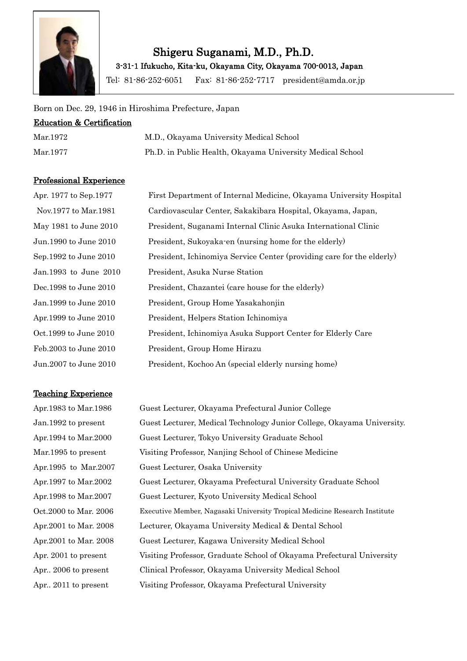

# Shigeru Suganami, M.D., Ph.D.

3-31-1 Ifukucho, Kita-ku, Okayama City, Okayama 700-0013, Japan

Tel: 81-86-252-6051 Fax: 81-86-252-7717 president@amda.or.jp

#### Born on Dec. 29, 1946 in Hiroshima Prefecture, Japan

#### Education & Certification

| Mar. 1972 | M.D., Okayama University Medical School                   |
|-----------|-----------------------------------------------------------|
| Mar.1977  | Ph.D. in Public Health, Okayama University Medical School |

#### Professional Experience

| Apr. 1977 to Sep.1977 | First Department of Internal Medicine, Okayama University Hospital    |
|-----------------------|-----------------------------------------------------------------------|
| Nov.1977 to Mar.1981  | Cardiovascular Center, Sakakibara Hospital, Okayama, Japan,           |
| May 1981 to June 2010 | President, Suganami Internal Clinic Asuka International Clinic        |
| Jun.1990 to June 2010 | President, Sukoyaka en (nursing home for the elderly)                 |
| Sep.1992 to June 2010 | President, Ichinomiya Service Center (providing care for the elderly) |
| Jan.1993 to June 2010 | President, Asuka Nurse Station                                        |
| Dec.1998 to June 2010 | President, Chazantei (care house for the elderly)                     |
| Jan.1999 to June 2010 | President, Group Home Yasakahonjin                                    |
| Apr.1999 to June 2010 | President, Helpers Station Ichinomiya                                 |
| Oct.1999 to June 2010 | President, Ichinomiya Asuka Support Center for Elderly Care           |
| Feb.2003 to June 2010 | President, Group Home Hirazu                                          |
| Jun.2007 to June 2010 | President, Kochoo An (special elderly nursing home)                   |

#### Teaching Experience

Apr.1983 to Mar.1986 Guest Lecturer, Okayama Prefectural Junior College Jan.1992 to present Guest Lecturer, Medical Technology Junior College, Okayama University. Apr.1994 to Mar.2000 Guest Lecturer, Tokyo University Graduate School Mar.1995 to present Visiting Professor, Nanjing School of Chinese Medicine Apr.1995 to Mar.2007 Guest Lecturer, Osaka University Apr.1997 to Mar.2002 Guest Lecturer, Okayama Prefectural University Graduate School Apr.1998 to Mar.2007 Guest Lecturer, Kyoto University Medical School Oct.2000 to Mar. 2006 Executive Member, Nagasaki University Tropical Medicine Research Institute Apr.2001 to Mar. 2008 Lecturer, Okayama University Medical & Dental School Apr.2001 to Mar. 2008 Guest Lecturer, Kagawa University Medical School Apr. 2001 to present Visiting Professor, Graduate School of Okayama Prefectural University Apr.. 2006 to present Clinical Professor, Okayama University Medical School Apr.. 2011 to present Visiting Professor, Okayama Prefectural University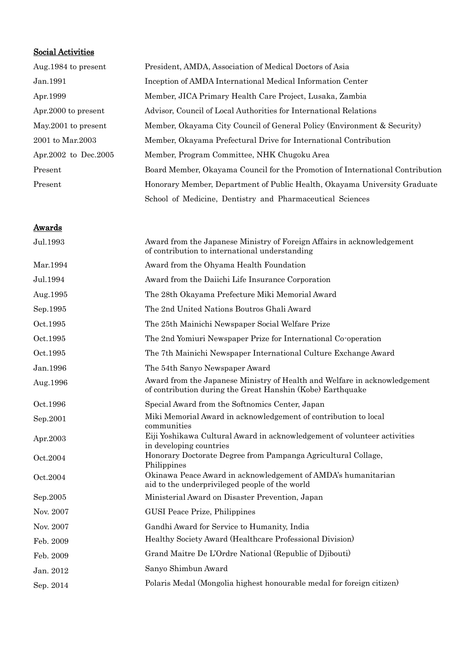### Social Activities

| Aug. 1984 to present   | President, AMDA, Association of Medical Doctors of Asia                       |
|------------------------|-------------------------------------------------------------------------------|
| Jan. 1991              | Inception of AMDA International Medical Information Center                    |
| Apr. 1999              | Member, JICA Primary Health Care Project, Lusaka, Zambia                      |
| Apr. 2000 to present   | Advisor, Council of Local Authorities for International Relations             |
| May 2001 to present    | Member, Okayama City Council of General Policy (Environment & Security)       |
| 2001 to Mar. 2003      | Member, Okayama Prefectural Drive for International Contribution              |
| Apr. 2002 to Dec. 2005 | Member, Program Committee, NHK Chugoku Area                                   |
| Present                | Board Member, Okayama Council for the Promotion of International Contribution |
| Present                | Honorary Member, Department of Public Health, Okayama University Graduate     |
|                        | School of Medicine, Dentistry and Pharmaceutical Sciences                     |

#### **Awards**

| Jul.1993  | Award from the Japanese Ministry of Foreign Affairs in acknowledgement<br>of contribution to international understanding                |
|-----------|-----------------------------------------------------------------------------------------------------------------------------------------|
| Mar.1994  | Award from the Ohyama Health Foundation                                                                                                 |
| Jul.1994  | Award from the Daiichi Life Insurance Corporation                                                                                       |
| Aug.1995  | The 28th Okayama Prefecture Miki Memorial Award                                                                                         |
| Sep.1995  | The 2nd United Nations Boutros Ghali Award                                                                                              |
| Oct.1995  | The 25th Mainichi Newspaper Social Welfare Prize                                                                                        |
| Oct.1995  | The 2nd Yomiuri Newspaper Prize for International Co-operation                                                                          |
| Oct.1995  | The 7th Mainichi Newspaper International Culture Exchange Award                                                                         |
| Jan.1996  | The 54th Sanyo Newspaper Award                                                                                                          |
| Aug.1996  | Award from the Japanese Ministry of Health and Welfare in acknowledgement<br>of contribution during the Great Hanshin (Kobe) Earthquake |
| Oct.1996  | Special Award from the Softnomics Center, Japan                                                                                         |
| Sep.2001  | Miki Memorial Award in acknowledgement of contribution to local<br>communities                                                          |
| Apr.2003  | Eiji Yoshikawa Cultural Award in acknowledgement of volunteer activities<br>in developing countries                                     |
| Oct.2004  | Honorary Doctorate Degree from Pampanga Agricultural Collage,<br>Philippines                                                            |
| Oct.2004  | Okinawa Peace Award in acknowledgement of AMDA's humanitarian<br>aid to the underprivileged people of the world                         |
| Sep.2005  | Ministerial Award on Disaster Prevention, Japan                                                                                         |
| Nov. 2007 | GUSI Peace Prize, Philippines                                                                                                           |
| Nov. 2007 | Gandhi Award for Service to Humanity, India                                                                                             |
| Feb. 2009 | Healthy Society Award (Healthcare Professional Division)                                                                                |
| Feb. 2009 | Grand Maitre De L'Ordre National (Republic of Djibouti)                                                                                 |
| Jan. 2012 | Sanyo Shimbun Award                                                                                                                     |
| Sep. 2014 | Polaris Medal (Mongolia highest honourable medal for foreign citizen)                                                                   |